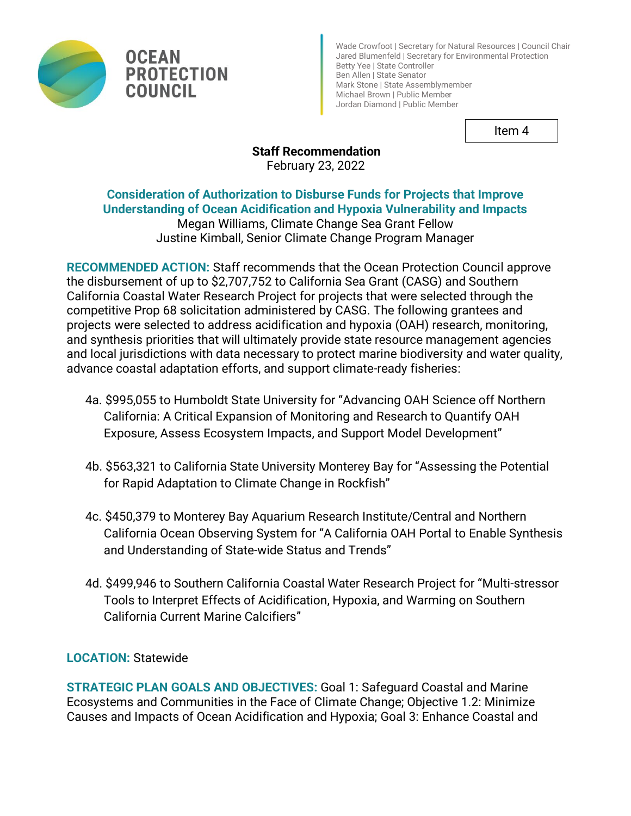



Wade Crowfoot | Secretary for Natural Resources | Council Chair Jared Blumenfeld | Secretary for Environmental Protection Betty Yee | State Controller Ben Allen | State Senator Mark Stone | State Assemblymember Michael Brown | Public Member Jordan Diamond | Public Member

Item 4

# **Staff Recommendation** February 23, 2022

# **Consideration of Authorization to Disburse Funds for Projects that Improve Understanding of Ocean Acidification and Hypoxia Vulnerability and Impacts**

Megan Williams, Climate Change Sea Grant Fellow Justine Kimball, Senior Climate Change Program Manager

**RECOMMENDED ACTION:** Staff recommends that the Ocean Protection Council approve the disbursement of up to \$2,707,752 to California Sea Grant (CASG) and Southern California Coastal Water Research Project for projects that were selected through the competitive Prop 68 solicitation administered by CASG. The following grantees and projects were selected to address acidification and hypoxia (OAH) research, monitoring, and synthesis priorities that will ultimately provide state resource management agencies and local jurisdictions with data necessary to protect marine biodiversity and water quality, advance coastal adaptation efforts, and support climate-ready fisheries:

- 4a. \$995,055 to Humboldt State University for "Advancing OAH Science off Northern California: A Critical Expansion of Monitoring and Research to Quantify OAH Exposure, Assess Ecosystem Impacts, and Support Model Development"
- 4b. \$563,321 to California State University Monterey Bay for "Assessing the Potential for Rapid Adaptation to Climate Change in Rockfish"
- 4c. \$450,379 to Monterey Bay Aquarium Research Institute/Central and Northern California Ocean Observing System for "A California OAH Portal to Enable Synthesis and Understanding of State-wide Status and Trends"
- 4d. \$499,946 to Southern California Coastal Water Research Project for "Multi-stressor Tools to Interpret Effects of Acidification, Hypoxia, and Warming on Southern California Current Marine Calcifiers"

# **LOCATION:** Statewide

**STRATEGIC PLAN GOALS AND OBJECTIVES:** Goal 1: Safeguard Coastal and Marine Ecosystems and Communities in the Face of Climate Change; Objective 1.2: Minimize Causes and Impacts of Ocean Acidification and Hypoxia; Goal 3: Enhance Coastal and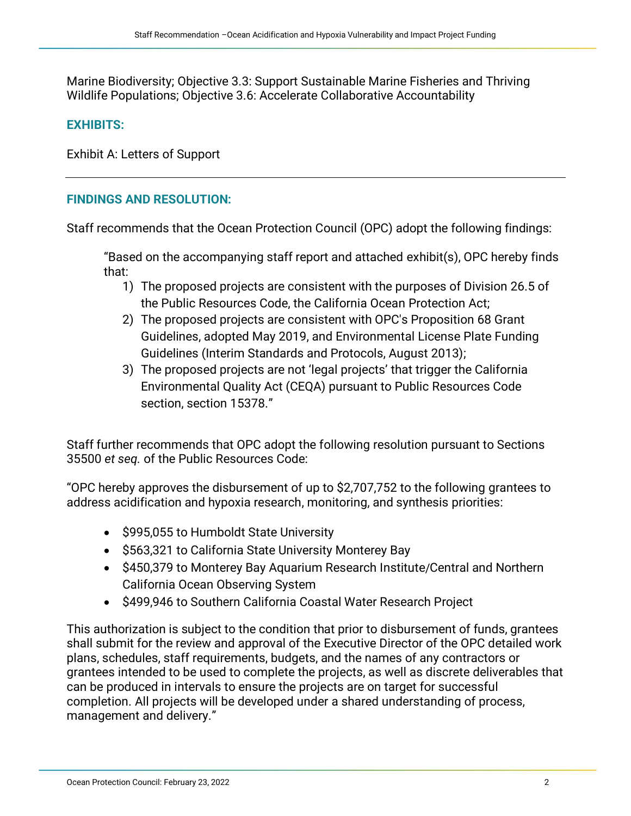Marine Biodiversity; Objective 3.3: Support Sustainable Marine Fisheries and Thriving Wildlife Populations; Objective 3.6: Accelerate Collaborative Accountability

# **EXHIBITS:**

Exhibit A: Letters of Support

# **FINDINGS AND RESOLUTION:**

Staff recommends that the Ocean Protection Council (OPC) adopt the following findings:

"Based on the accompanying staff report and attached exhibit(s), OPC hereby finds that:

- 1) The proposed projects are consistent with the purposes of Division 26.5 of the Public Resources Code, the California Ocean Protection Act;
- 2) The proposed projects are consistent with OPC's Proposition 68 Grant Guidelines, adopted May 2019, and Environmental License Plate Funding Guidelines (Interim Standards and Protocols, August 2013);
- 3) The proposed projects are not 'legal projects' that trigger the California Environmental Quality Act (CEQA) pursuant to Public Resources Code section, section 15378."

Staff further recommends that OPC adopt the following resolution pursuant to Sections 35500 *et seq.* of the Public Resources Code:

"OPC hereby approves the disbursement of up to \$2,707,752 to the following grantees to address acidification and hypoxia research, monitoring, and synthesis priorities:

- \$995,055 to Humboldt State University
- \$563,321 to California State University Monterey Bay
- \$450,379 to Monterey Bay Aquarium Research Institute/Central and Northern California Ocean Observing System
- \$499,946 to Southern California Coastal Water Research Project

This authorization is subject to the condition that prior to disbursement of funds, grantees shall submit for the review and approval of the Executive Director of the OPC detailed work plans, schedules, staff requirements, budgets, and the names of any contractors or grantees intended to be used to complete the projects, as well as discrete deliverables that can be produced in intervals to ensure the projects are on target for successful completion. All projects will be developed under a shared understanding of process, management and delivery."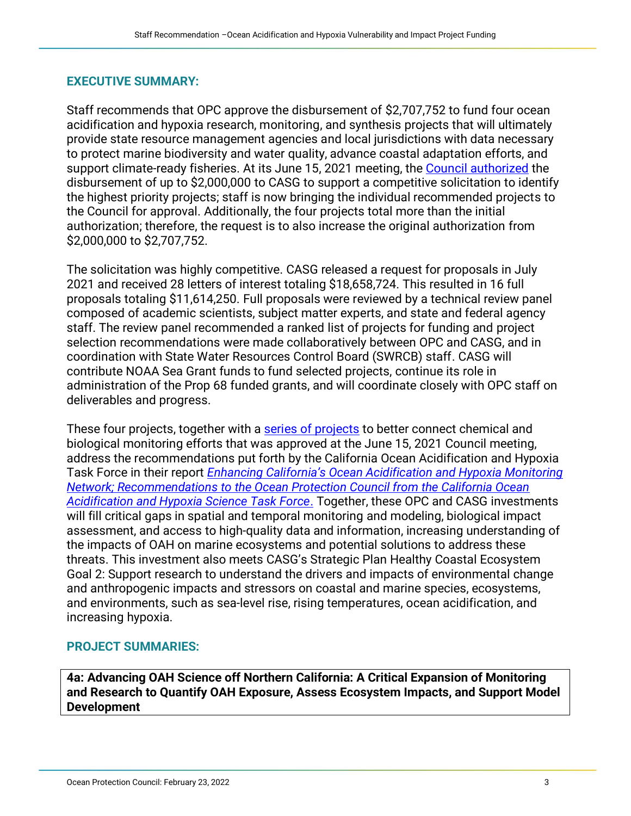# **EXECUTIVE SUMMARY:**

Staff recommends that OPC approve the disbursement of \$2,707,752 to fund four ocean acidification and hypoxia research, monitoring, and synthesis projects that will ultimately provide state resource management agencies and local jurisdictions with data necessary to protect marine biodiversity and water quality, advance coastal adaptation efforts, and support climate-ready fisheries. At its June 15, 2021 meeting, the [Council authorized](https://www.opc.ca.gov/webmaster/ftp/pdf/agenda_items/20210615/Item4a_Prop_68_OAH_Competive_Call_with_Sea_Grant_FINAL.pdf) the disbursement of up to \$2,000,000 to CASG to support a competitive solicitation to identify the highest priority projects; staff is now bringing the individual recommended projects to the Council for approval. Additionally, the four projects total more than the initial authorization; therefore, the request is to also increase the original authorization from \$2,000,000 to \$2,707,752.

The solicitation was highly competitive. CASG released a request for proposals in July 2021 and received 28 letters of interest totaling \$18,658,724. This resulted in 16 full proposals totaling \$11,614,250. Full proposals were reviewed by a technical review panel composed of academic scientists, subject matter experts, and state and federal agency staff. The review panel recommended a ranked list of projects for funding and project selection recommendations were made collaboratively between OPC and CASG, and in coordination with State Water Resources Control Board (SWRCB) staff. CASG will contribute NOAA Sea Grant funds to fund selected projects, continue its role in administration of the Prop 68 funded grants, and will coordinate closely with OPC staff on deliverables and progress.

These four projects, together with a [series of projects](https://www.opc.ca.gov/webmaster/ftp/pdf/agenda_items/20210615/Item4b_OAH_monitoring_FINAL.pdf) to better connect chemical and biological monitoring efforts that was approved at the June 15, 2021 Council meeting, address the recommendations put forth by the California Ocean Acidification and Hypoxia Task Force in their report *[Enhancing California's Ocean Acidification and Hypoxia Monitoring](https://www.opc.ca.gov/webmaster/ftp/pdf/agenda_items/20210615/Item4a_Exhibit_B_Enhancing_Californias_Ocean_Acidification_and_Hypoxia_Monitoring_Network.pdf)  [Network; Recommendations to the Ocean Protection Council from the California Ocean](https://www.opc.ca.gov/webmaster/ftp/pdf/agenda_items/20210615/Item4a_Exhibit_B_Enhancing_Californias_Ocean_Acidification_and_Hypoxia_Monitoring_Network.pdf)  [Acidification and Hypoxia Science Task Force](https://www.opc.ca.gov/webmaster/ftp/pdf/agenda_items/20210615/Item4a_Exhibit_B_Enhancing_Californias_Ocean_Acidification_and_Hypoxia_Monitoring_Network.pdf)*. Together, these OPC and CASG investments will fill critical gaps in spatial and temporal monitoring and modeling, biological impact assessment, and access to high-quality data and information, increasing understanding of the impacts of OAH on marine ecosystems and potential solutions to address these threats. This investment also meets CASG's Strategic Plan Healthy Coastal Ecosystem Goal 2: Support research to understand the drivers and impacts of environmental change and anthropogenic impacts and stressors on coastal and marine species, ecosystems, and environments, such as sea-level rise, rising temperatures, ocean acidification, and increasing hypoxia.

# **PROJECT SUMMARIES:**

**4a: Advancing OAH Science off Northern California: A Critical Expansion of Monitoring and Research to Quantify OAH Exposure, Assess Ecosystem Impacts, and Support Model Development**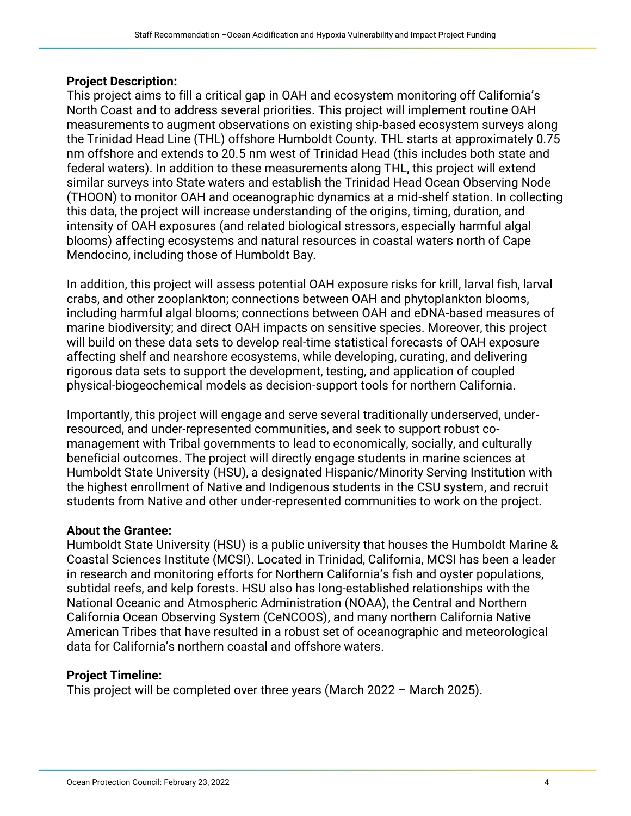#### **Project Description:**

This project aims to fill a critical gap in OAH and ecosystem monitoring off California's North Coast and to address several priorities. This project will implement routine OAH measurements to augment observations on existing ship-based ecosystem surveys along the Trinidad Head Line (THL) offshore Humboldt County. THL starts at approximately 0.75 nm offshore and extends to 20.5 nm west of Trinidad Head (this includes both state and federal waters). In addition to these measurements along THL, this project will extend similar surveys into State waters and establish the Trinidad Head Ocean Observing Node (THOON) to monitor OAH and oceanographic dynamics at a mid-shelf station. In collecting this data, the project will increase understanding of the origins, timing, duration, and intensity of OAH exposures (and related biological stressors, especially harmful algal blooms) affecting ecosystems and natural resources in coastal waters north of Cape Mendocino, including those of Humboldt Bay.

In addition, this project will assess potential OAH exposure risks for krill, larval fish, larval crabs, and other zooplankton; connections between OAH and phytoplankton blooms, including harmful algal blooms; connections between OAH and eDNA-based measures of marine biodiversity; and direct OAH impacts on sensitive species. Moreover, this project will build on these data sets to develop real-time statistical forecasts of OAH exposure affecting shelf and nearshore ecosystems, while developing, curating, and delivering rigorous data sets to support the development, testing, and application of coupled physical-biogeochemical models as decision-support tools for northern California.

Importantly, this project will engage and serve several traditionally underserved, underresourced, and under-represented communities, and seek to support robust comanagement with Tribal governments to lead to economically, socially, and culturally beneficial outcomes. The project will directly engage students in marine sciences at Humboldt State University (HSU), a designated Hispanic/Minority Serving Institution with the highest enrollment of Native and Indigenous students in the CSU system, and recruit students from Native and other under-represented communities to work on the project.

#### **About the Grantee:**

Humboldt State University (HSU) is a public university that houses the Humboldt Marine & Coastal Sciences Institute (MCSI). Located in Trinidad, California, MCSI has been a leader in research and monitoring efforts for Northern California's fish and oyster populations, subtidal reefs, and kelp forests. HSU also has long-established relationships with the National Oceanic and Atmospheric Administration (NOAA), the Central and Northern California Ocean Observing System (CeNCOOS), and many northern California Native American Tribes that have resulted in a robust set of oceanographic and meteorological data for California's northern coastal and offshore waters.

#### **Project Timeline:**

This project will be completed over three years (March 2022 – March 2025).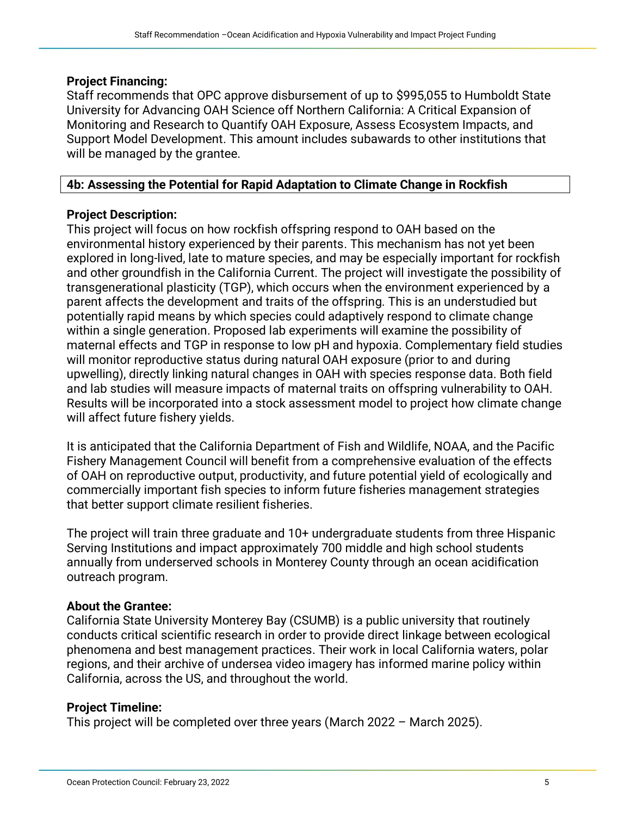#### **Project Financing:**

Staff recommends that OPC approve disbursement of up to \$995,055 to Humboldt State University for Advancing OAH Science off Northern California: A Critical Expansion of Monitoring and Research to Quantify OAH Exposure, Assess Ecosystem Impacts, and Support Model Development. This amount includes subawards to other institutions that will be managed by the grantee.

# **4b: Assessing the Potential for Rapid Adaptation to Climate Change in Rockfish**

# **Project Description:**

This project will focus on how rockfish offspring respond to OAH based on the environmental history experienced by their parents. This mechanism has not yet been explored in long-lived, late to mature species, and may be especially important for rockfish and other groundfish in the California Current. The project will investigate the possibility of transgenerational plasticity (TGP), which occurs when the environment experienced by a parent affects the development and traits of the offspring. This is an understudied but potentially rapid means by which species could adaptively respond to climate change within a single generation. Proposed lab experiments will examine the possibility of maternal effects and TGP in response to low pH and hypoxia. Complementary field studies will monitor reproductive status during natural OAH exposure (prior to and during upwelling), directly linking natural changes in OAH with species response data. Both field and lab studies will measure impacts of maternal traits on offspring vulnerability to OAH. Results will be incorporated into a stock assessment model to project how climate change will affect future fishery yields.

It is anticipated that the California Department of Fish and Wildlife, NOAA, and the Pacific Fishery Management Council will benefit from a comprehensive evaluation of the effects of OAH on reproductive output, productivity, and future potential yield of ecologically and commercially important fish species to inform future fisheries management strategies that better support climate resilient fisheries.

The project will train three graduate and 10+ undergraduate students from three Hispanic Serving Institutions and impact approximately 700 middle and high school students annually from underserved schools in Monterey County through an ocean acidification outreach program.

#### **About the Grantee:**

California State University Monterey Bay (CSUMB) is a public university that routinely conducts critical scientific research in order to provide direct linkage between ecological phenomena and best management practices. Their work in local California waters, polar regions, and their archive of undersea video imagery has informed marine policy within California, across the US, and throughout the world.

# **Project Timeline:**

This project will be completed over three years (March 2022 – March 2025).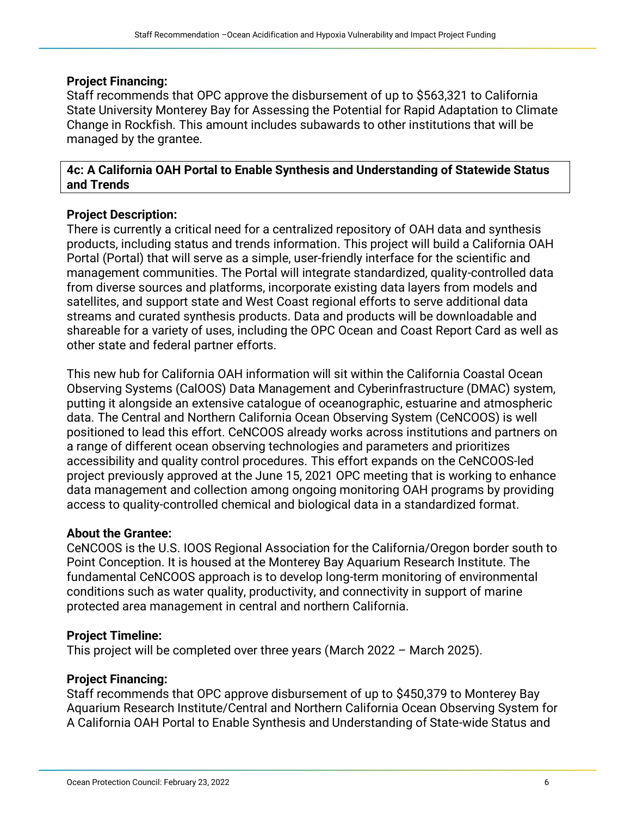#### **Project Financing:**

Staff recommends that OPC approve the disbursement of up to \$563,321 to California State University Monterey Bay for Assessing the Potential for Rapid Adaptation to Climate Change in Rockfish. This amount includes subawards to other institutions that will be managed by the grantee.

#### **4c: A California OAH Portal to Enable Synthesis and Understanding of Statewide Status and Trends**

# **Project Description:**

There is currently a critical need for a centralized repository of OAH data and synthesis products, including status and trends information. This project will build a California OAH Portal (Portal) that will serve as a simple, user-friendly interface for the scientific and management communities. The Portal will integrate standardized, quality-controlled data from diverse sources and platforms, incorporate existing data layers from models and satellites, and support state and West Coast regional efforts to serve additional data streams and curated synthesis products. Data and products will be downloadable and shareable for a variety of uses, including the OPC Ocean and Coast Report Card as well as other state and federal partner efforts.

This new hub for California OAH information will sit within the California Coastal Ocean Observing Systems (CalOOS) Data Management and Cyberinfrastructure (DMAC) system, putting it alongside an extensive catalogue of oceanographic, estuarine and atmospheric data. The Central and Northern California Ocean Observing System (CeNCOOS) is well positioned to lead this effort. CeNCOOS already works across institutions and partners on a range of different ocean observing technologies and parameters and prioritizes accessibility and quality control procedures. This effort expands on the CeNCOOS-led project previously approved at the June 15, 2021 OPC meeting that is working to enhance data management and collection among ongoing monitoring OAH programs by providing access to quality-controlled chemical and biological data in a standardized format.

#### **About the Grantee:**

CeNCOOS is the U.S. IOOS Regional Association for the California/Oregon border south to Point Conception. It is housed at the Monterey Bay Aquarium Research Institute. The fundamental CeNCOOS approach is to develop long-term monitoring of environmental conditions such as water quality, productivity, and connectivity in support of marine protected area management in central and northern California.

#### **Project Timeline:**

This project will be completed over three years (March 2022 – March 2025).

#### **Project Financing:**

Staff recommends that OPC approve disbursement of up to \$450,379 to Monterey Bay Aquarium Research Institute/Central and Northern California Ocean Observing System for A California OAH Portal to Enable Synthesis and Understanding of State-wide Status and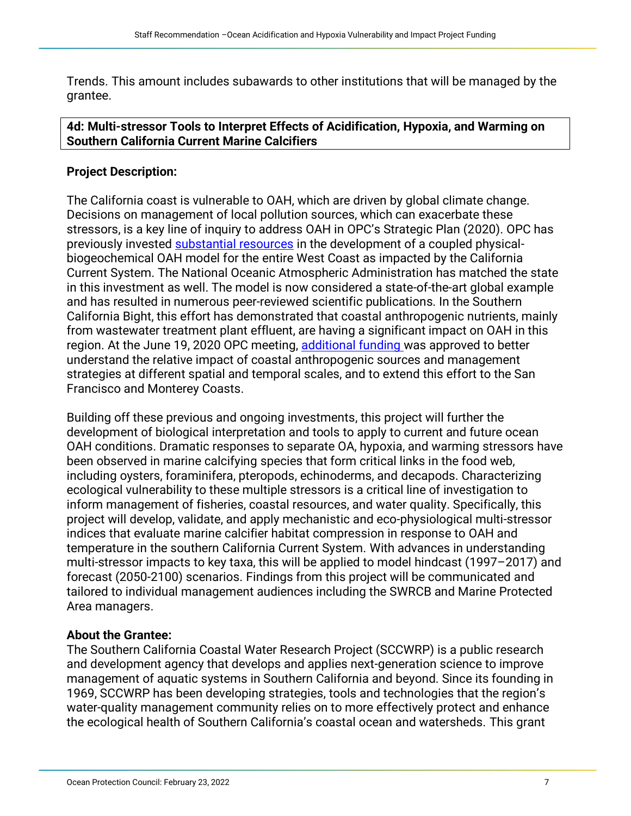Trends. This amount includes subawards to other institutions that will be managed by the grantee.

# **4d: Multi-stressor Tools to Interpret Effects of Acidification, Hypoxia, and Warming on Southern California Current Marine Calcifiers**

# **Project Description:**

The California coast is vulnerable to OAH, which are driven by global climate change. Decisions on management of local pollution sources, which can exacerbate these stressors, is a key line of inquiry to address OAH in OPC's Strategic Plan (2020). OPC has previously invested [substantial resources](http://www.opc.ca.gov/webmaster/ftp/pdf/agenda_items/20161017/4a_OA_Model_UCLA/Item4a_EnhancedUCLAmodel_StaffRec.pdf) in the development of a coupled physicalbiogeochemical OAH model for the entire West Coast as impacted by the California Current System. The National Oceanic Atmospheric Administration has matched the state in this investment as well. The model is now considered a state-of-the-art global example and has resulted in numerous peer-reviewed scientific publications. In the Southern California Bight, this effort has demonstrated that coastal anthropogenic nutrients, mainly from wastewater treatment plant effluent, are having a significant impact on OAH in this region. At the June 19, 2020 OPC meeting, [additional funding w](https://opc.ca.gov/webmaster/ftp/pdf/agenda_items/20200619/Item4b_OAH_Model_FINAL.pdf)as approved to better understand the relative impact of coastal anthropogenic sources and management strategies at different spatial and temporal scales, and to extend this effort to the San Francisco and Monterey Coasts.

Building off these previous and ongoing investments, this project will further the development of biological interpretation and tools to apply to current and future ocean OAH conditions. Dramatic responses to separate OA, hypoxia, and warming stressors have been observed in marine calcifying species that form critical links in the food web, including oysters, foraminifera, pteropods, echinoderms, and decapods. Characterizing ecological vulnerability to these multiple stressors is a critical line of investigation to inform management of fisheries, coastal resources, and water quality. Specifically, this project will develop, validate, and apply mechanistic and eco-physiological multi-stressor indices that evaluate marine calcifier habitat compression in response to OAH and temperature in the southern California Current System. With advances in understanding multi-stressor impacts to key taxa, this will be applied to model hindcast (1997–2017) and forecast (2050-2100) scenarios. Findings from this project will be communicated and tailored to individual management audiences including the SWRCB and Marine Protected Area managers.

# **About the Grantee:**

The Southern California Coastal Water Research Project (SCCWRP) is a public research and development agency that develops and applies next-generation science to improve management of aquatic systems in Southern California and beyond. Since its founding in 1969, SCCWRP has been developing strategies, tools and technologies that the region's water-quality management community relies on to more effectively protect and enhance the ecological health of Southern California's coastal ocean and watersheds. This grant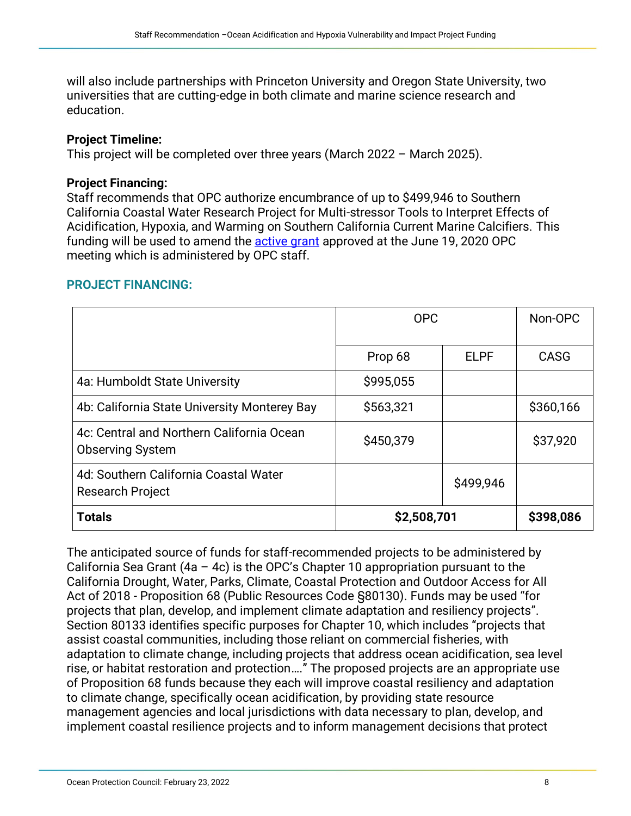will also include partnerships with Princeton University and Oregon State University, two universities that are cutting-edge in both climate and marine science research and education.

#### **Project Timeline:**

This project will be completed over three years (March 2022 – March 2025).

# **Project Financing:**

Staff recommends that OPC authorize encumbrance of up to \$499,946 to Southern California Coastal Water Research Project for Multi-stressor Tools to Interpret Effects of Acidification, Hypoxia, and Warming on Southern California Current Marine Calcifiers. This funding will be used to amend the [active grant](https://opc.ca.gov/webmaster/ftp/pdf/agenda_items/20200619/Item4b_OAH_Model_FINAL.pdf) approved at the June 19, 2020 OPC meeting which is administered by OPC staff.

# **PROJECT FINANCING:**

|                                                                      | <b>OPC</b>  |             | Non-OPC   |
|----------------------------------------------------------------------|-------------|-------------|-----------|
|                                                                      | Prop 68     | <b>ELPF</b> | CASG      |
| 4a: Humboldt State University                                        | \$995,055   |             |           |
| 4b: California State University Monterey Bay                         | \$563,321   |             | \$360,166 |
| 4c: Central and Northern California Ocean<br><b>Observing System</b> | \$450,379   |             | \$37,920  |
| 4d: Southern California Coastal Water<br><b>Research Project</b>     |             | \$499,946   |           |
| <b>Totals</b>                                                        | \$2,508,701 |             | \$398,086 |

The anticipated source of funds for staff-recommended projects to be administered by California Sea Grant  $(4a - 4c)$  is the OPC's Chapter 10 appropriation pursuant to the California Drought, Water, Parks, Climate, Coastal Protection and Outdoor Access for All Act of 2018 - Proposition 68 (Public Resources Code §80130). Funds may be used "for projects that plan, develop, and implement climate adaptation and resiliency projects". Section 80133 identifies specific purposes for Chapter 10, which includes "projects that assist coastal communities, including those reliant on commercial fisheries, with adaptation to climate change, including projects that address ocean acidification, sea level rise, or habitat restoration and protection…." The proposed projects are an appropriate use of Proposition 68 funds because they each will improve coastal resiliency and adaptation to climate change, specifically ocean acidification, by providing state resource management agencies and local jurisdictions with data necessary to plan, develop, and implement coastal resilience projects and to inform management decisions that protect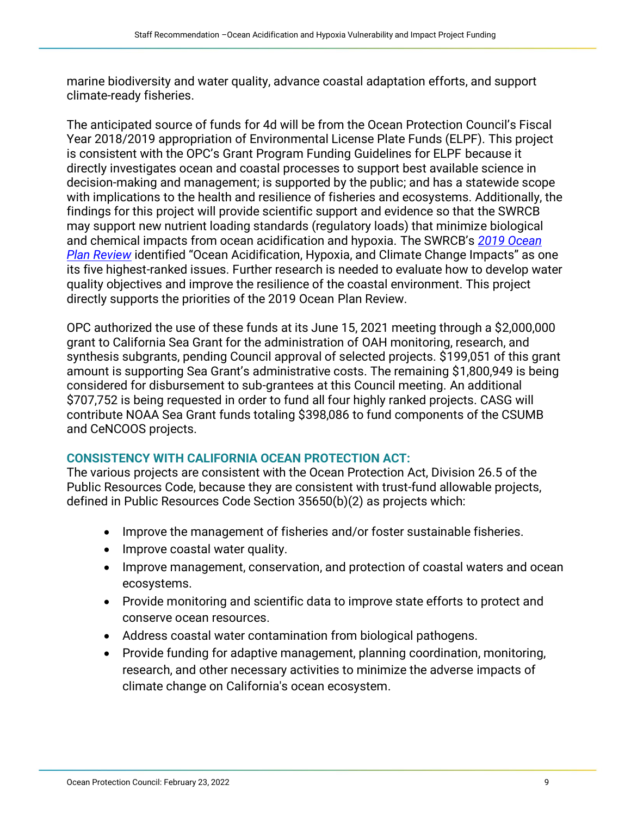marine biodiversity and water quality, advance coastal adaptation efforts, and support climate-ready fisheries.

The anticipated source of funds for 4d will be from the Ocean Protection Council's Fiscal Year 2018/2019 appropriation of Environmental License Plate Funds (ELPF). This project is consistent with the OPC's Grant Program Funding Guidelines for ELPF because it directly investigates ocean and coastal processes to support best available science in decision-making and management; is supported by the public; and has a statewide scope with implications to the health and resilience of fisheries and ecosystems. Additionally, the findings for this project will provide scientific support and evidence so that the SWRCB may support new nutrient loading standards (regulatory loads) that minimize biological and chemical impacts from ocean acidification and hypoxia. The SWRCB's *[2019 Ocean](https://www.waterboards.ca.gov/water_issues/programs/ocean/docs/oceanplan2019.pdf)  [Plan Review](https://www.waterboards.ca.gov/water_issues/programs/ocean/docs/oceanplan2019.pdf)* identified "Ocean Acidification, Hypoxia, and Climate Change Impacts" as one its five highest-ranked issues. Further research is needed to evaluate how to develop water quality objectives and improve the resilience of the coastal environment. This project directly supports the priorities of the 2019 Ocean Plan Review.

OPC authorized the use of these funds at its June 15, 2021 meeting through a \$2,000,000 grant to California Sea Grant for the administration of OAH monitoring, research, and synthesis subgrants, pending Council approval of selected projects. \$199,051 of this grant amount is supporting Sea Grant's administrative costs. The remaining \$1,800,949 is being considered for disbursement to sub-grantees at this Council meeting. An additional \$707,752 is being requested in order to fund all four highly ranked projects. CASG will contribute NOAA Sea Grant funds totaling \$398,086 to fund components of the CSUMB and CeNCOOS projects.

# **CONSISTENCY WITH CALIFORNIA OCEAN PROTECTION ACT:**

The various projects are consistent with the Ocean Protection Act, Division 26.5 of the Public Resources Code, because they are consistent with trust-fund allowable projects, defined in Public Resources Code Section 35650(b)(2) as projects which:

- Improve the management of fisheries and/or foster sustainable fisheries.
- Improve coastal water quality.
- Improve management, conservation, and protection of coastal waters and ocean ecosystems.
- Provide monitoring and scientific data to improve state efforts to protect and conserve ocean resources.
- Address coastal water contamination from biological pathogens.
- Provide funding for adaptive management, planning coordination, monitoring, research, and other necessary activities to minimize the adverse impacts of climate change on California's ocean ecosystem.